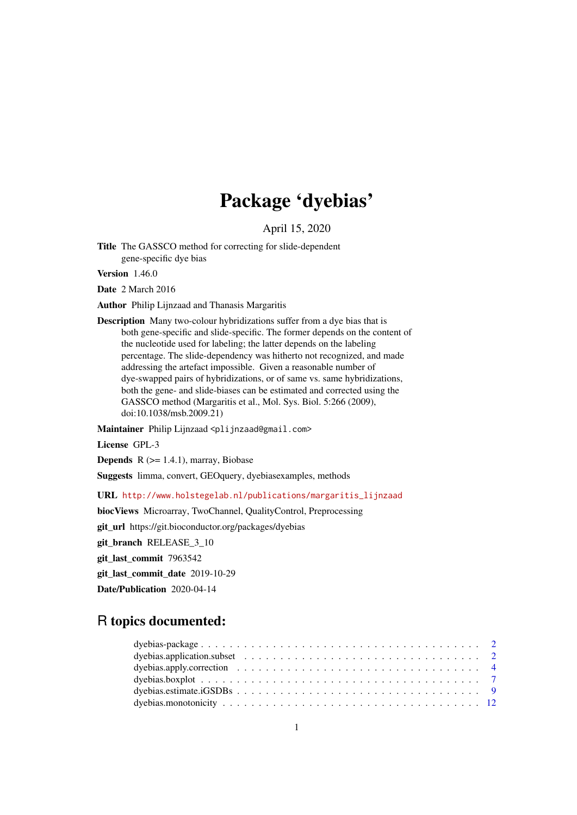# Package 'dyebias'

April 15, 2020

Title The GASSCO method for correcting for slide-dependent gene-specific dye bias

Version 1.46.0

Date 2 March 2016

Author Philip Lijnzaad and Thanasis Margaritis

Description Many two-colour hybridizations suffer from a dye bias that is both gene-specific and slide-specific. The former depends on the content of the nucleotide used for labeling; the latter depends on the labeling percentage. The slide-dependency was hitherto not recognized, and made addressing the artefact impossible. Given a reasonable number of dye-swapped pairs of hybridizations, or of same vs. same hybridizations, both the gene- and slide-biases can be estimated and corrected using the GASSCO method (Margaritis et al., Mol. Sys. Biol. 5:266 (2009), doi:10.1038/msb.2009.21)

Maintainer Philip Lijnzaad <plijnzaad@gmail.com>

License GPL-3

**Depends**  $R$  ( $>= 1.4.1$ ), marray, Biobase

Suggests limma, convert, GEOquery, dyebiasexamples, methods

URL [http://www.holstegelab.nl/publications/margaritis\\_lijnzaad](http://www.holstegelab.nl/publications/margaritis_lijnzaad)

biocViews Microarray, TwoChannel, QualityControl, Preprocessing

git\_url https://git.bioconductor.org/packages/dyebias

git\_branch RELEASE\_3\_10

git last commit 7963542

git\_last\_commit\_date 2019-10-29

Date/Publication 2020-04-14

# R topics documented: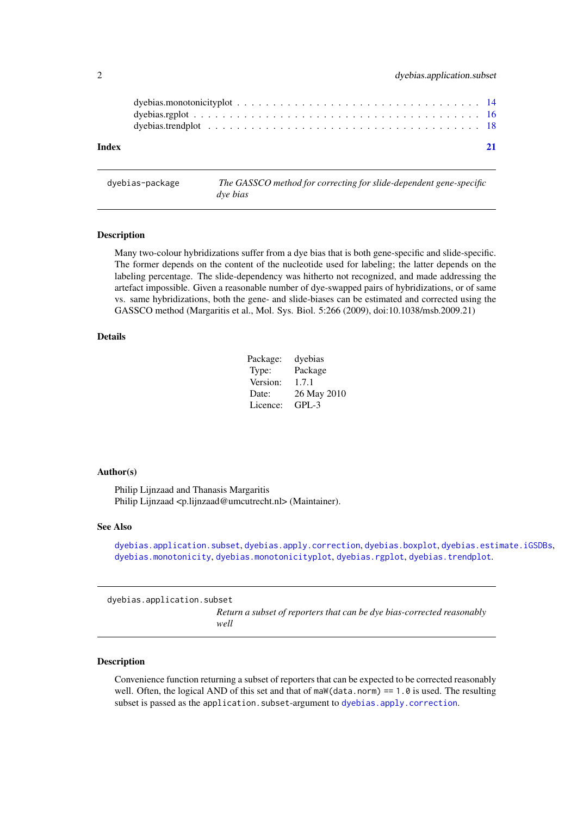<span id="page-1-0"></span>

| Index |  |  |  |  |  |  |  |  |  |  |  |  |  |  |  | 21 |
|-------|--|--|--|--|--|--|--|--|--|--|--|--|--|--|--|----|
|       |  |  |  |  |  |  |  |  |  |  |  |  |  |  |  |    |
|       |  |  |  |  |  |  |  |  |  |  |  |  |  |  |  |    |

dyebias-package *The GASSCO method for correcting for slide-dependent gene-specific dye bias*

#### Description

Many two-colour hybridizations suffer from a dye bias that is both gene-specific and slide-specific. The former depends on the content of the nucleotide used for labeling; the latter depends on the labeling percentage. The slide-dependency was hitherto not recognized, and made addressing the artefact impossible. Given a reasonable number of dye-swapped pairs of hybridizations, or of same vs. same hybridizations, both the gene- and slide-biases can be estimated and corrected using the GASSCO method (Margaritis et al., Mol. Sys. Biol. 5:266 (2009), doi:10.1038/msb.2009.21)

# Details

| Package: | dyebias     |
|----------|-------------|
| Type:    | Package     |
| Version: | 1.7.1       |
| Date:    | 26 May 2010 |
| Licence: | GPL-3       |

#### Author(s)

Philip Lijnzaad and Thanasis Margaritis Philip Lijnzaad <p.lijnzaad@umcutrecht.nl> (Maintainer).

# See Also

[dyebias.application.subset](#page-1-1), [dyebias.apply.correction](#page-3-1), [dyebias.boxplot](#page-6-1), [dyebias.estimate.iGSDBs](#page-8-1), [dyebias.monotonicity](#page-11-1), [dyebias.monotonicityplot](#page-13-1), [dyebias.rgplot](#page-15-1), [dyebias.trendplot](#page-17-1).

<span id="page-1-1"></span>dyebias.application.subset

*Return a subset of reporters that can be dye bias-corrected reasonably well*

# Description

Convenience function returning a subset of reporters that can be expected to be corrected reasonably well. Often, the logical AND of this set and that of maW(data.norm) ==  $1.0$  is used. The resulting subset is passed as the application. subset-argument to dyebias. apply. correction.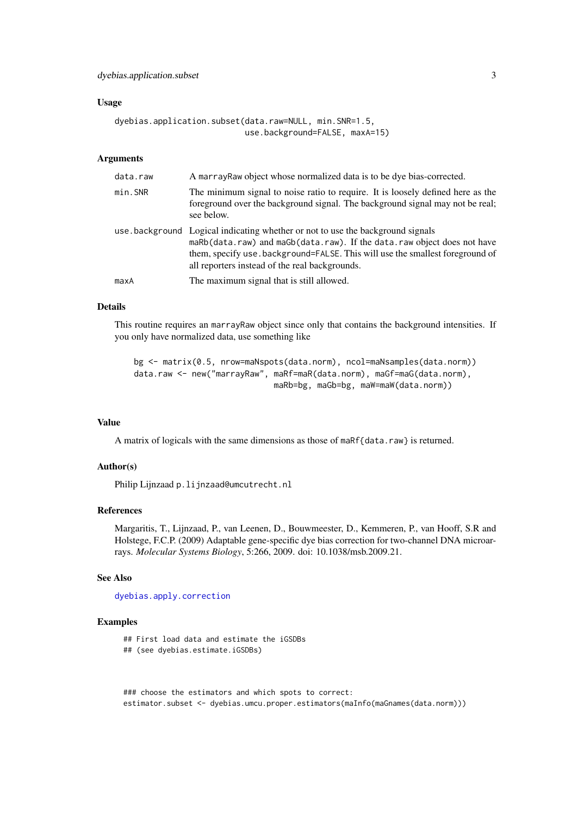#### <span id="page-2-0"></span>Usage

```
dyebias.application.subset(data.raw=NULL, min.SNR=1.5,
                           use.background=FALSE, maxA=15)
```
# Arguments

| data.raw | A marray Raw object whose normalized data is to be dye bias-corrected.                                                                                                                                                                                                                        |
|----------|-----------------------------------------------------------------------------------------------------------------------------------------------------------------------------------------------------------------------------------------------------------------------------------------------|
| min. SNR | The minimum signal to noise ratio to require. It is loosely defined here as the<br>foreground over the background signal. The background signal may not be real;<br>see below.                                                                                                                |
|          | use background Logical indicating whether or not to use the background signals<br>maRb(data.raw) and maGb(data.raw). If the data.raw object does not have<br>them, specify use . background=FALSE. This will use the smallest foreground of<br>all reporters instead of the real backgrounds. |
| maxA     | The maximum signal that is still allowed.                                                                                                                                                                                                                                                     |

#### Details

This routine requires an marrayRaw object since only that contains the background intensities. If you only have normalized data, use something like

```
bg <- matrix(0.5, nrow=maNspots(data.norm), ncol=maNsamples(data.norm))
data.raw <- new("marrayRaw", maRf=maR(data.norm), maGf=maG(data.norm),
                             maRb=bg, maGb=bg, maW=maW(data.norm))
```
# Value

A matrix of logicals with the same dimensions as those of maRf{data.raw} is returned.

# Author(s)

Philip Lijnzaad p.lijnzaad@umcutrecht.nl

#### References

Margaritis, T., Lijnzaad, P., van Leenen, D., Bouwmeester, D., Kemmeren, P., van Hooff, S.R and Holstege, F.C.P. (2009) Adaptable gene-specific dye bias correction for two-channel DNA microarrays. *Molecular Systems Biology*, 5:266, 2009. doi: 10.1038/msb.2009.21.

#### See Also

[dyebias.apply.correction](#page-3-1)

#### Examples

```
## First load data and estimate the iGSDBs
## (see dyebias.estimate.iGSDBs)
```
### choose the estimators and which spots to correct: estimator.subset <- dyebias.umcu.proper.estimators(maInfo(maGnames(data.norm)))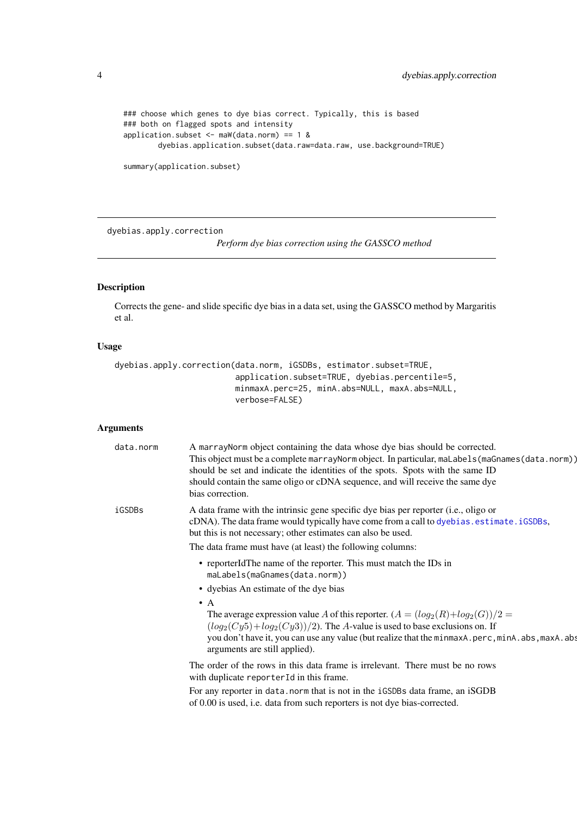```
### choose which genes to dye bias correct. Typically, this is based
### both on flagged spots and intensity
application.subset \leq maW(data.norm) == 1 &
       dyebias.application.subset(data.raw=data.raw, use.background=TRUE)
```

```
summary(application.subset)
```
<span id="page-3-1"></span>dyebias.apply.correction

*Perform dye bias correction using the GASSCO method*

# Description

Corrects the gene- and slide specific dye bias in a data set, using the GASSCO method by Margaritis et al.

# Usage

```
dyebias.apply.correction(data.norm, iGSDBs, estimator.subset=TRUE,
                         application.subset=TRUE, dyebias.percentile=5,
                         minmaxA.perc=25, minA.abs=NULL, maxA.abs=NULL,
                         verbose=FALSE)
```
# Arguments

| data.norm | A marrayNorm object containing the data whose dye bias should be corrected.<br>This object must be a complete marray Norm object. In particular, maLabels (maGnames (data.norm))<br>should be set and indicate the identities of the spots. Spots with the same ID<br>should contain the same oligo or cDNA sequence, and will receive the same dye<br>bias correction. |
|-----------|-------------------------------------------------------------------------------------------------------------------------------------------------------------------------------------------------------------------------------------------------------------------------------------------------------------------------------------------------------------------------|
| iGSDBs    | A data frame with the intrinsic gene specific dye bias per reporter (i.e., oligo or<br>cDNA). The data frame would typically have come from a call to dyebias. estimate. iGSDBs,<br>but this is not necessary; other estimates can also be used.<br>The data frame must have (at least) the following columns:                                                          |
|           | • reporterIdThe name of the reporter. This must match the IDs in<br>maLabels(maGnames(data.norm))<br>• dyebias An estimate of the dye bias                                                                                                                                                                                                                              |
|           | $\bullet$ A<br>The average expression value A of this reporter. $(A = (log_2(R) + log_2(G))/2 =$<br>$(log_2(Cy5) + log_2(Cy3))/2$ ). The A-value is used to base exclusions on. If<br>you don't have it, you can use any value (but realize that the minmaxA.perc, minA.abs, maxA.abs<br>arguments are still applied).                                                  |
|           | The order of the rows in this data frame is irrelevant. There must be no rows<br>with duplicate reporterId in this frame.                                                                                                                                                                                                                                               |
|           | For any reporter in data. norm that is not in the iGSDBs data frame, an iSGDB<br>of 0.00 is used, i.e. data from such reporters is not dye bias-corrected.                                                                                                                                                                                                              |

<span id="page-3-0"></span>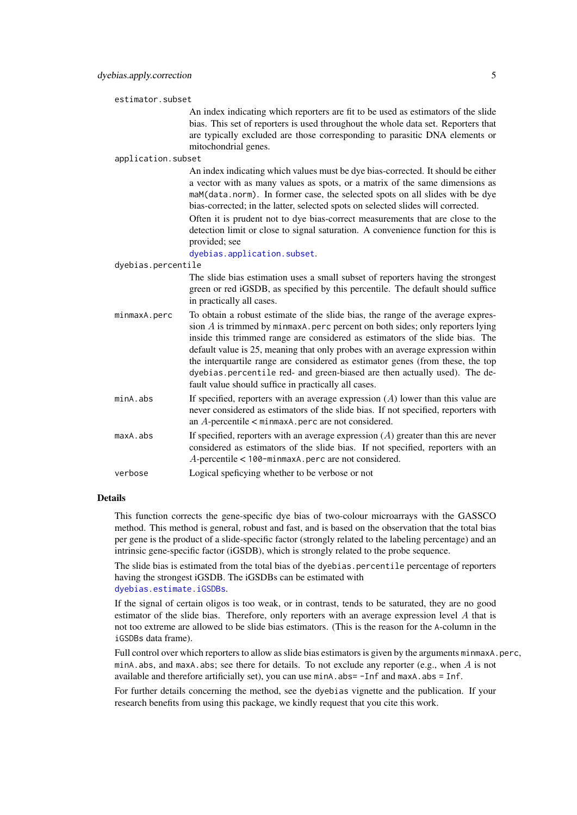<span id="page-4-0"></span>estimator.subset

|                    | An index indicating which reporters are fit to be used as estimators of the slide<br>bias. This set of reporters is used throughout the whole data set. Reporters that<br>are typically excluded are those corresponding to parasitic DNA elements or<br>mitochondrial genes.                                                                                                                                                                                                                                                                                  |
|--------------------|----------------------------------------------------------------------------------------------------------------------------------------------------------------------------------------------------------------------------------------------------------------------------------------------------------------------------------------------------------------------------------------------------------------------------------------------------------------------------------------------------------------------------------------------------------------|
| application.subset |                                                                                                                                                                                                                                                                                                                                                                                                                                                                                                                                                                |
|                    | An index indicating which values must be dye bias-corrected. It should be either<br>a vector with as many values as spots, or a matrix of the same dimensions as<br>maM(data.norm). In former case, the selected spots on all slides with be dye<br>bias-corrected; in the latter, selected spots on selected slides will corrected.                                                                                                                                                                                                                           |
|                    | Often it is prudent not to dye bias-correct measurements that are close to the<br>detection limit or close to signal saturation. A convenience function for this is<br>provided; see                                                                                                                                                                                                                                                                                                                                                                           |
|                    | dyebias.application.subset.                                                                                                                                                                                                                                                                                                                                                                                                                                                                                                                                    |
| dyebias.percentile |                                                                                                                                                                                                                                                                                                                                                                                                                                                                                                                                                                |
|                    | The slide bias estimation uses a small subset of reporters having the strongest<br>green or red iGSDB, as specified by this percentile. The default should suffice<br>in practically all cases.                                                                                                                                                                                                                                                                                                                                                                |
| minmaxA.perc       | To obtain a robust estimate of the slide bias, the range of the average expres-<br>sion $A$ is trimmed by minmaxA. perc percent on both sides; only reporters lying<br>inside this trimmed range are considered as estimators of the slide bias. The<br>default value is 25, meaning that only probes with an average expression within<br>the interquartile range are considered as estimator genes (from these, the top<br>dyebias.percentile red- and green-biased are then actually used). The de-<br>fault value should suffice in practically all cases. |
| minA.abs           | If specified, reporters with an average expression $(A)$ lower than this value are<br>never considered as estimators of the slide bias. If not specified, reporters with<br>an $A$ -percentile $\lt$ minmaxA. perc are not considered.                                                                                                                                                                                                                                                                                                                         |
| maxA.abs           | If specified, reporters with an average expression $(A)$ greater than this are never<br>considered as estimators of the slide bias. If not specified, reporters with an<br>$A$ -percentile < 100-minmaxA.perc are not considered.                                                                                                                                                                                                                                                                                                                              |
| verbose            | Logical speficying whether to be verbose or not                                                                                                                                                                                                                                                                                                                                                                                                                                                                                                                |

# Details

This function corrects the gene-specific dye bias of two-colour microarrays with the GASSCO method. This method is general, robust and fast, and is based on the observation that the total bias per gene is the product of a slide-specific factor (strongly related to the labeling percentage) and an intrinsic gene-specific factor (iGSDB), which is strongly related to the probe sequence.

The slide bias is estimated from the total bias of the dyebias.percentile percentage of reporters having the strongest iGSDB. The iGSDBs can be estimated with

[dyebias.estimate.iGSDBs](#page-8-1).

If the signal of certain oligos is too weak, or in contrast, tends to be saturated, they are no good estimator of the slide bias. Therefore, only reporters with an average expression level A that is not too extreme are allowed to be slide bias estimators. (This is the reason for the A-column in the iGSDBs data frame).

Full control over which reporters to allow as slide bias estimators is given by the arguments minmaxA.perc, minA. abs, and maxA. abs; see there for details. To not exclude any reporter (e.g., when  $\overline{A}$  is not available and therefore artificially set), you can use minA.abs= -Inf and maxA.abs = Inf.

For further details concerning the method, see the dyebias vignette and the publication. If your research benefits from using this package, we kindly request that you cite this work.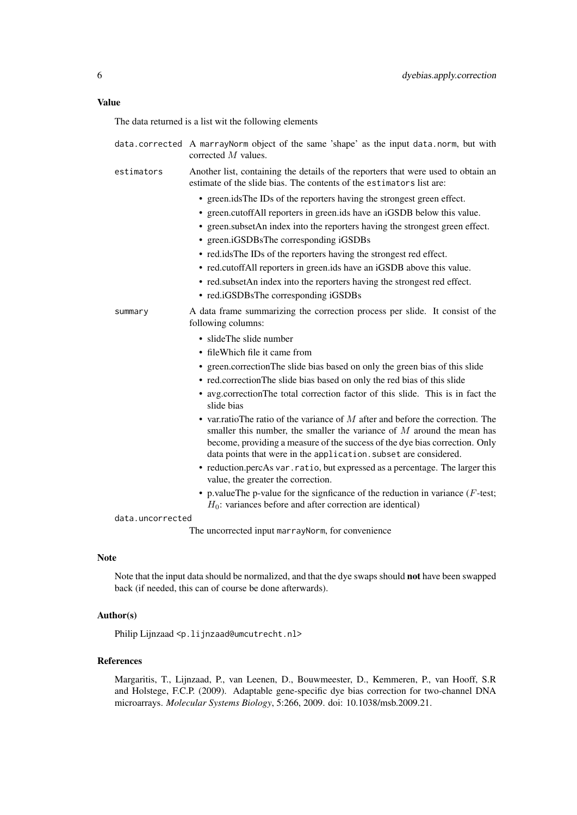# Value

The data returned is a list wit the following elements

|                      | data.corrected A marrayNorm object of the same 'shape' as the input data.norm, but with<br>corrected $M$ values.                                                                                                                                                                                                                                                                                                                                                                                                                                                                                                                                                                                                                                                                                                                                                                                                                                           |
|----------------------|------------------------------------------------------------------------------------------------------------------------------------------------------------------------------------------------------------------------------------------------------------------------------------------------------------------------------------------------------------------------------------------------------------------------------------------------------------------------------------------------------------------------------------------------------------------------------------------------------------------------------------------------------------------------------------------------------------------------------------------------------------------------------------------------------------------------------------------------------------------------------------------------------------------------------------------------------------|
| estimators           | Another list, containing the details of the reporters that were used to obtain an<br>estimate of the slide bias. The contents of the estimators list are:                                                                                                                                                                                                                                                                                                                                                                                                                                                                                                                                                                                                                                                                                                                                                                                                  |
|                      | • green.idsThe IDs of the reporters having the strongest green effect.<br>• green.cutoffAll reporters in green.ids have an iGSDB below this value.<br>• green.subsetAn index into the reporters having the strongest green effect.<br>• green.iGSDBsThe corresponding iGSDBs<br>• red.idsThe IDs of the reporters having the strongest red effect.<br>• red.cutoffAll reporters in green.ids have an iGSDB above this value.<br>• red.subsetAn index into the reporters having the strongest red effect.<br>• red.iGSDBsThe corresponding iGSDBs                                                                                                                                                                                                                                                                                                                                                                                                           |
| summary              | A data frame summarizing the correction process per slide. It consist of the<br>following columns:<br>• slideThe slide number<br>• fileWhich file it came from<br>• green.correctionThe slide bias based on only the green bias of this slide<br>• red.correctionThe slide bias based on only the red bias of this slide<br>• avg.correctionThe total correction factor of this slide. This is in fact the<br>slide bias<br>• var. ratio The ratio of the variance of $M$ after and before the correction. The<br>smaller this number, the smaller the variance of $M$ around the mean has<br>become, providing a measure of the success of the dye bias correction. Only<br>data points that were in the application. subset are considered.<br>• reduction.percAs var.ratio, but expressed as a percentage. The larger this<br>value, the greater the correction.<br>• p.valueThe p-value for the significance of the reduction in variance ( $F$ -test; |
| $dx + y$ uncorrooted | $H_0$ : variances before and after correction are identical)                                                                                                                                                                                                                                                                                                                                                                                                                                                                                                                                                                                                                                                                                                                                                                                                                                                                                               |

data.uncorrected

The uncorrected input marrayNorm, for convenience

# Note

Note that the input data should be normalized, and that the dye swaps should not have been swapped back (if needed, this can of course be done afterwards).

# Author(s)

Philip Lijnzaad <p.lijnzaad@umcutrecht.nl>

# References

Margaritis, T., Lijnzaad, P., van Leenen, D., Bouwmeester, D., Kemmeren, P., van Hooff, S.R and Holstege, F.C.P. (2009). Adaptable gene-specific dye bias correction for two-channel DNA microarrays. *Molecular Systems Biology*, 5:266, 2009. doi: 10.1038/msb.2009.21.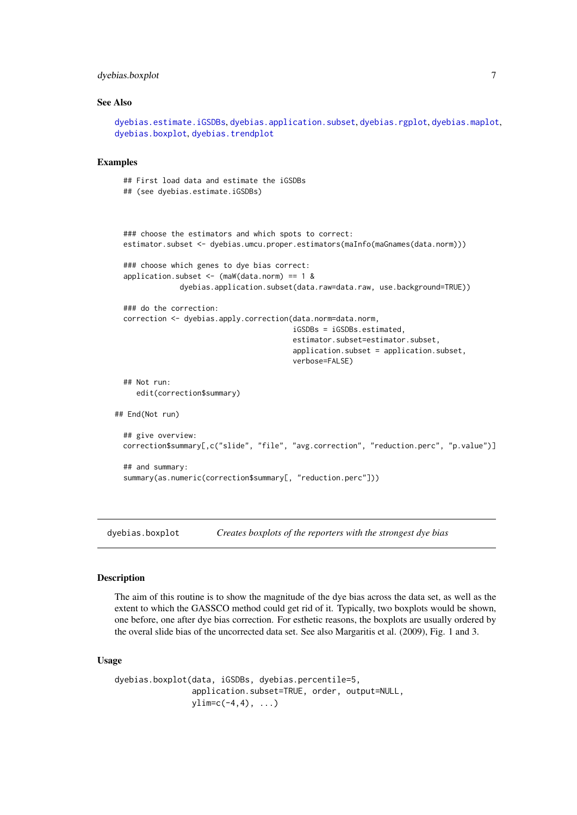#### <span id="page-6-0"></span>dyebias.boxplot 7

#### See Also

```
dyebias.estimate.iGSDBs, dyebias.application.subset, dyebias.rgplot, dyebias.maplot,
dyebias.boxplot, dyebias.trendplot
```
#### Examples

## First load data and estimate the iGSDBs

```
## (see dyebias.estimate.iGSDBs)
  ### choose the estimators and which spots to correct:
  estimator.subset <- dyebias.umcu.proper.estimators(maInfo(maGnames(data.norm)))
  ### choose which genes to dye bias correct:
  application.subset \leq (maW(data.norm) == 1 &
               dyebias.application.subset(data.raw=data.raw, use.background=TRUE))
  ### do the correction:
  correction <- dyebias.apply.correction(data.norm=data.norm,
                                         iGSDBs = iGSDBs.estimated,
                                         estimator.subset=estimator.subset,
                                         application.subset = application.subset,
                                         verbose=FALSE)
  ## Not run:
     edit(correction$summary)
## End(Not run)
  ## give overview:
  correction$summary[,c("slide", "file", "avg.correction", "reduction.perc", "p.value")]
  ## and summary:
  summary(as.numeric(correction$summary[, "reduction.perc"]))
```
<span id="page-6-1"></span>dyebias.boxplot *Creates boxplots of the reporters with the strongest dye bias*

#### Description

The aim of this routine is to show the magnitude of the dye bias across the data set, as well as the extent to which the GASSCO method could get rid of it. Typically, two boxplots would be shown, one before, one after dye bias correction. For esthetic reasons, the boxplots are usually ordered by the overal slide bias of the uncorrected data set. See also Margaritis et al. (2009), Fig. 1 and 3.

#### Usage

dyebias.boxplot(data, iGSDBs, dyebias.percentile=5, application.subset=TRUE, order, output=NULL,  $ylim=c(-4,4), ...$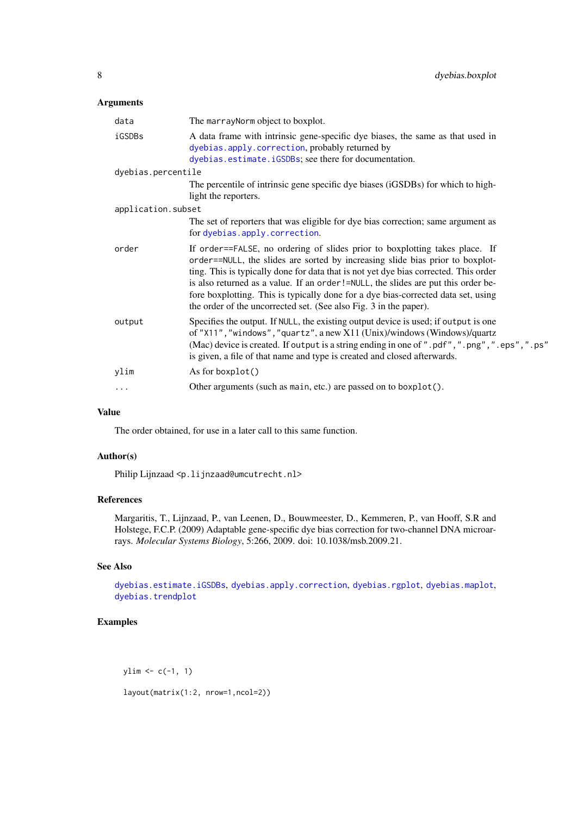# <span id="page-7-0"></span>Arguments

| data               | The marray Norm object to boxplot.                                                                                                                                                                                                                                                                                                                                                                                                                                                                  |
|--------------------|-----------------------------------------------------------------------------------------------------------------------------------------------------------------------------------------------------------------------------------------------------------------------------------------------------------------------------------------------------------------------------------------------------------------------------------------------------------------------------------------------------|
| iGSDBs             | A data frame with intrinsic gene-specific dye biases, the same as that used in<br>dyebias.apply.correction, probably returned by<br>dyebias.estimate.iGSDBs; see there for documentation.                                                                                                                                                                                                                                                                                                           |
| dyebias.percentile |                                                                                                                                                                                                                                                                                                                                                                                                                                                                                                     |
|                    | The percentile of intrinsic gene specific dye biases (iGSDBs) for which to high-<br>light the reporters.                                                                                                                                                                                                                                                                                                                                                                                            |
| application.subset |                                                                                                                                                                                                                                                                                                                                                                                                                                                                                                     |
|                    | The set of reporters that was eligible for dye bias correction; same argument as<br>for dyebias.apply.correction.                                                                                                                                                                                                                                                                                                                                                                                   |
| order              | If order==FALSE, no ordering of slides prior to boxplotting takes place. If<br>order==NULL, the slides are sorted by increasing slide bias prior to boxplot-<br>ting. This is typically done for data that is not yet dye bias corrected. This order<br>is also returned as a value. If an order!=NULL, the slides are put this order be-<br>fore boxplotting. This is typically done for a dye bias-corrected data set, using<br>the order of the uncorrected set. (See also Fig. 3 in the paper). |
| output             | Specifies the output. If NULL, the existing output device is used; if output is one<br>of "X11", "windows", "quartz", a new X11 (Unix)/windows (Windows)/quartz<br>(Mac) device is created. If output is a string ending in one of ".pdf", ".png", ".eps", ".ps"<br>is given, a file of that name and type is created and closed afterwards.                                                                                                                                                        |
| ylim               | As for boxplot()                                                                                                                                                                                                                                                                                                                                                                                                                                                                                    |
| $\cdots$           | Other arguments (such as main, etc.) are passed on to boxplot().                                                                                                                                                                                                                                                                                                                                                                                                                                    |
|                    |                                                                                                                                                                                                                                                                                                                                                                                                                                                                                                     |

# Value

The order obtained, for use in a later call to this same function.

# Author(s)

Philip Lijnzaad <p. lijnzaad@umcutrecht.nl>

# References

Margaritis, T., Lijnzaad, P., van Leenen, D., Bouwmeester, D., Kemmeren, P., van Hooff, S.R and Holstege, F.C.P. (2009) Adaptable gene-specific dye bias correction for two-channel DNA microarrays. *Molecular Systems Biology*, 5:266, 2009. doi: 10.1038/msb.2009.21.

# See Also

[dyebias.estimate.iGSDBs](#page-8-1), [dyebias.apply.correction](#page-3-1), [dyebias.rgplot](#page-15-1), [dyebias.maplot](#page-15-2), [dyebias.trendplot](#page-17-1)

# Examples

 $ylim < -c(-1, 1)$ layout(matrix(1:2, nrow=1,ncol=2))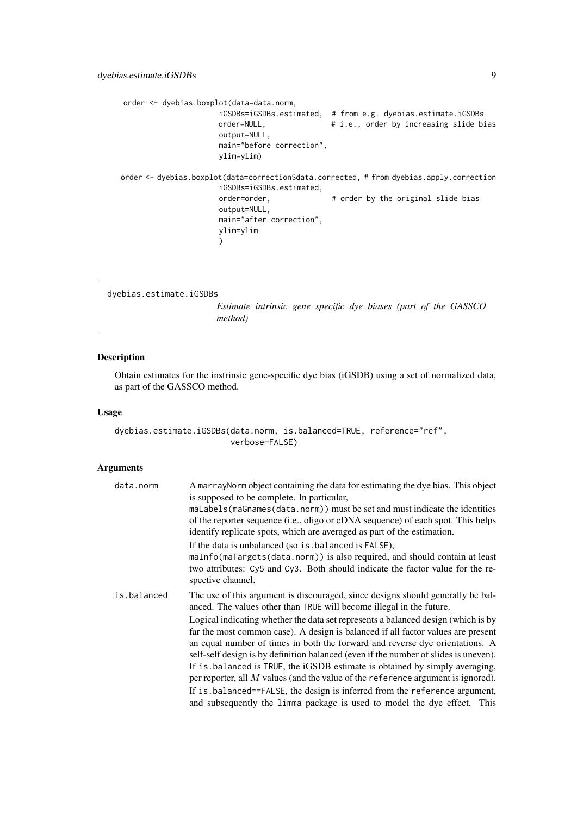```
order <- dyebias.boxplot(data=data.norm,
                      iGSDBs=iGSDBs.estimated, # from e.g. dyebias.estimate.iGSDBs
                      order=NULL, \qquad \qquad # i.e., order by increasing slide biasoutput=NULL,
                      main="before correction",
                      ylim=ylim)
order <- dyebias.boxplot(data=correction$data.corrected, # from dyebias.apply.correction
                      iGSDBs=iGSDBs.estimated,
                      order=order, \qquad \qquad # order by the original slide bias
                      output=NULL,
                      main="after correction",
                      ylim=ylim
                      )
```

```
dyebias.estimate.iGSDBs
```
*Estimate intrinsic gene specific dye biases (part of the GASSCO method)*

# Description

Obtain estimates for the instrinsic gene-specific dye bias (iGSDB) using a set of normalized data, as part of the GASSCO method.

## Usage

```
dyebias.estimate.iGSDBs(data.norm, is.balanced=TRUE, reference="ref",
                        verbose=FALSE)
```
# Arguments

| data.norm   | A marray Norm object containing the data for estimating the dye bias. This object<br>is supposed to be complete. In particular,<br>maLabels (maGnames (data.norm)) must be set and must indicate the identities<br>of the reporter sequence (i.e., oligo or cDNA sequence) of each spot. This helps<br>identify replicate spots, which are averaged as part of the estimation.<br>If the data is unbalanced (so is . balanced is FALSE),<br>maInfo(maTargets(data.norm)) is also required, and should contain at least<br>two attributes: Cy5 and Cy3. Both should indicate the factor value for the re-<br>spective channel.                                                                                                                                                                                                           |
|-------------|-----------------------------------------------------------------------------------------------------------------------------------------------------------------------------------------------------------------------------------------------------------------------------------------------------------------------------------------------------------------------------------------------------------------------------------------------------------------------------------------------------------------------------------------------------------------------------------------------------------------------------------------------------------------------------------------------------------------------------------------------------------------------------------------------------------------------------------------|
| is.balanced | The use of this argument is discouraged, since designs should generally be bal-<br>anced. The values other than TRUE will become illegal in the future.<br>Logical indicating whether the data set represents a balanced design (which is by<br>far the most common case). A design is balanced if all factor values are present<br>an equal number of times in both the forward and reverse dye orientations. A<br>self-self design is by definition balanced (even if the number of slides is uneven).<br>If is balanced is TRUE, the iGSDB estimate is obtained by simply averaging,<br>per reporter, all $M$ values (and the value of the reference argument is ignored).<br>If is balanced==FALSE, the design is inferred from the reference argument,<br>and subsequently the limma package is used to model the dye effect. This |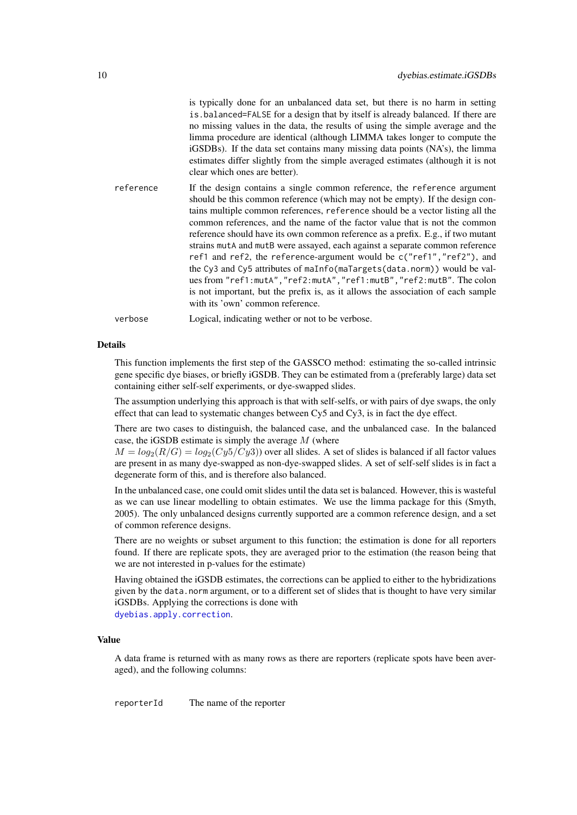<span id="page-9-0"></span>

|           | is typically done for an unbalanced data set, but there is no harm in setting<br>is balanced=FALSE for a design that by itself is already balanced. If there are<br>no missing values in the data, the results of using the simple average and the<br>limma procedure are identical (although LIMMA takes longer to compute the<br>iGSDBs). If the data set contains many missing data points (NA's), the limma<br>estimates differ slightly from the simple averaged estimates (although it is not<br>clear which ones are better).                                                                                                                                                                                                                                                                                                               |
|-----------|----------------------------------------------------------------------------------------------------------------------------------------------------------------------------------------------------------------------------------------------------------------------------------------------------------------------------------------------------------------------------------------------------------------------------------------------------------------------------------------------------------------------------------------------------------------------------------------------------------------------------------------------------------------------------------------------------------------------------------------------------------------------------------------------------------------------------------------------------|
| reference | If the design contains a single common reference, the reference argument<br>should be this common reference (which may not be empty). If the design con-<br>tains multiple common references, reference should be a vector listing all the<br>common references, and the name of the factor value that is not the common<br>reference should have its own common reference as a prefix. E.g., if two mutant<br>strains mutA and mutB were assayed, each against a separate common reference<br>ref1 and ref2, the reference-argument would be c("ref1", "ref2"), and<br>the Cy3 and Cy5 attributes of maInfo(maTargets(data.norm)) would be val-<br>ues from "ref1:mutA", "ref2:mutA", "ref1:mutB", "ref2:mutB". The colon<br>is not important, but the prefix is, as it allows the association of each sample<br>with its 'own' common reference. |

verbose Logical, indicating wether or not to be verbose.

# Details

This function implements the first step of the GASSCO method: estimating the so-called intrinsic gene specific dye biases, or briefly iGSDB. They can be estimated from a (preferably large) data set containing either self-self experiments, or dye-swapped slides.

The assumption underlying this approach is that with self-selfs, or with pairs of dye swaps, the only effect that can lead to systematic changes between Cy5 and Cy3, is in fact the dye effect.

There are two cases to distinguish, the balanced case, and the unbalanced case. In the balanced case, the iGSDB estimate is simply the average  $M$  (where

 $M = log_2(R/G) = log_2(Cy5/Cy3)$  over all slides. A set of slides is balanced if all factor values are present in as many dye-swapped as non-dye-swapped slides. A set of self-self slides is in fact a degenerate form of this, and is therefore also balanced.

In the unbalanced case, one could omit slides until the data set is balanced. However, this is wasteful as we can use linear modelling to obtain estimates. We use the limma package for this (Smyth, 2005). The only unbalanced designs currently supported are a common reference design, and a set of common reference designs.

There are no weights or subset argument to this function; the estimation is done for all reporters found. If there are replicate spots, they are averaged prior to the estimation (the reason being that we are not interested in p-values for the estimate)

Having obtained the iGSDB estimates, the corrections can be applied to either to the hybridizations given by the data.norm argument, or to a different set of slides that is thought to have very similar iGSDBs. Applying the corrections is done with

[dyebias.apply.correction](#page-3-1).

## Value

A data frame is returned with as many rows as there are reporters (replicate spots have been averaged), and the following columns:

reporterId The name of the reporter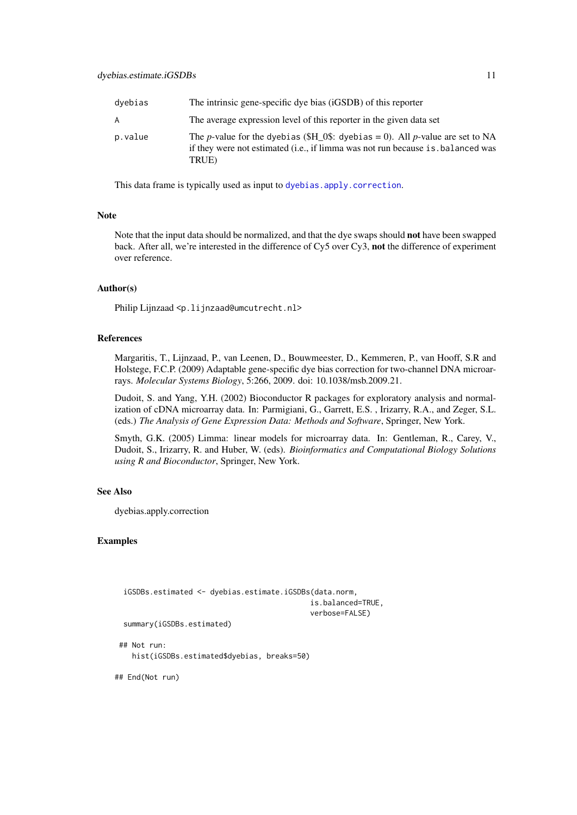#### dyebias.estimate.iGSDBs 11

| dvebias | The intrinsic gene-specific dye bias (iGSDB) of this reporter                                                                                                                            |
|---------|------------------------------------------------------------------------------------------------------------------------------------------------------------------------------------------|
| A       | The average expression level of this reporter in the given data set                                                                                                                      |
| p.value | The <i>p</i> -value for the dyebias (\$H 0\$: dyebias = 0). All <i>p</i> -value are set to NA<br>if they were not estimated (i.e., if limma was not run because is balanced was<br>TRUE) |

This data frame is typically used as input to [dyebias.apply.correction](#page-3-1).

#### Note

Note that the input data should be normalized, and that the dye swaps should not have been swapped back. After all, we're interested in the difference of Cy5 over Cy3, not the difference of experiment over reference.

#### Author(s)

Philip Lijnzaad <p.lijnzaad@umcutrecht.nl>

# References

Margaritis, T., Lijnzaad, P., van Leenen, D., Bouwmeester, D., Kemmeren, P., van Hooff, S.R and Holstege, F.C.P. (2009) Adaptable gene-specific dye bias correction for two-channel DNA microarrays. *Molecular Systems Biology*, 5:266, 2009. doi: 10.1038/msb.2009.21.

Dudoit, S. and Yang, Y.H. (2002) Bioconductor R packages for exploratory analysis and normalization of cDNA microarray data. In: Parmigiani, G., Garrett, E.S. , Irizarry, R.A., and Zeger, S.L. (eds.) *The Analysis of Gene Expression Data: Methods and Software*, Springer, New York.

Smyth, G.K. (2005) Limma: linear models for microarray data. In: Gentleman, R., Carey, V., Dudoit, S., Irizarry, R. and Huber, W. (eds). *Bioinformatics and Computational Biology Solutions using R and Bioconductor*, Springer, New York.

# See Also

dyebias.apply.correction

#### Examples

```
iGSDBs.estimated <- dyebias.estimate.iGSDBs(data.norm,
                                             is.balanced=TRUE,
                                             verbose=FALSE)
 summary(iGSDBs.estimated)
## Not run:
  hist(iGSDBs.estimated$dyebias, breaks=50)
```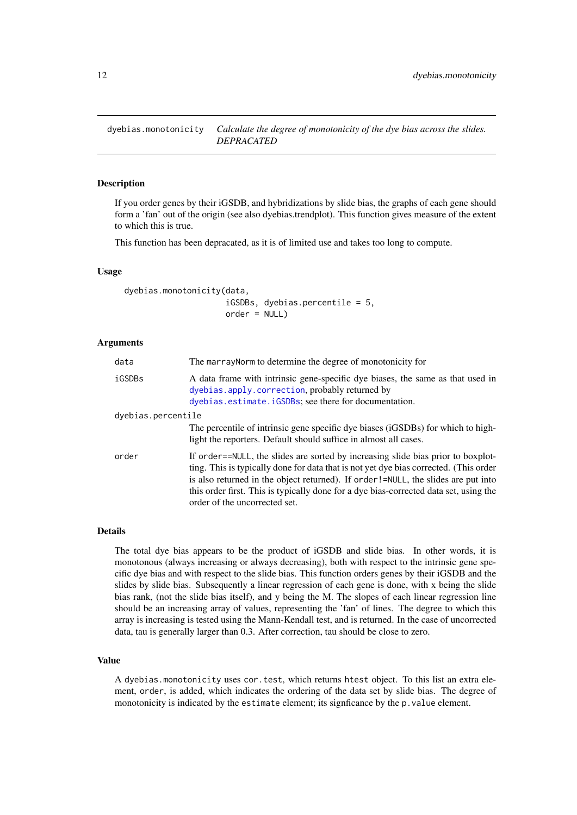<span id="page-11-1"></span><span id="page-11-0"></span>dyebias.monotonicity *Calculate the degree of monotonicity of the dye bias across the slides. DEPRACATED*

# Description

If you order genes by their iGSDB, and hybridizations by slide bias, the graphs of each gene should form a 'fan' out of the origin (see also dyebias.trendplot). This function gives measure of the extent to which this is true.

This function has been depracated, as it is of limited use and takes too long to compute.

# Usage

```
dyebias.monotonicity(data,
                     iGSDBs, dyebias.percentile = 5,
                     order = NULL)
```
### Arguments

| data               | The marray Norm to determine the degree of monotonicity for                                                                                                                                                                                                                                                                                                                              |
|--------------------|------------------------------------------------------------------------------------------------------------------------------------------------------------------------------------------------------------------------------------------------------------------------------------------------------------------------------------------------------------------------------------------|
| iGSDBs             | A data frame with intrinsic gene-specific dye biases, the same as that used in<br>dyebias.apply.correction, probably returned by<br>dyebias.estimate.iGSDBs; see there for documentation.                                                                                                                                                                                                |
| dyebias.percentile |                                                                                                                                                                                                                                                                                                                                                                                          |
|                    | The percentile of intrinsic gene specific dye biases (iGSDBs) for which to high-<br>light the reporters. Default should suffice in almost all cases.                                                                                                                                                                                                                                     |
| order              | If order==NULL, the slides are sorted by increasing slide bias prior to boxplot-<br>ting. This is typically done for data that is not yet dye bias corrected. (This order<br>is also returned in the object returned). If order!=NULL, the slides are put into<br>this order first. This is typically done for a dye bias-corrected data set, using the<br>order of the uncorrected set. |

#### Details

The total dye bias appears to be the product of iGSDB and slide bias. In other words, it is monotonous (always increasing or always decreasing), both with respect to the intrinsic gene specific dye bias and with respect to the slide bias. This function orders genes by their iGSDB and the slides by slide bias. Subsequently a linear regression of each gene is done, with x being the slide bias rank, (not the slide bias itself), and y being the M. The slopes of each linear regression line should be an increasing array of values, representing the 'fan' of lines. The degree to which this array is increasing is tested using the Mann-Kendall test, and is returned. In the case of uncorrected data, tau is generally larger than 0.3. After correction, tau should be close to zero.

#### Value

A dyebias.monotonicity uses cor.test, which returns htest object. To this list an extra element, order, is added, which indicates the ordering of the data set by slide bias. The degree of monotonicity is indicated by the estimate element; its signficance by the p.value element.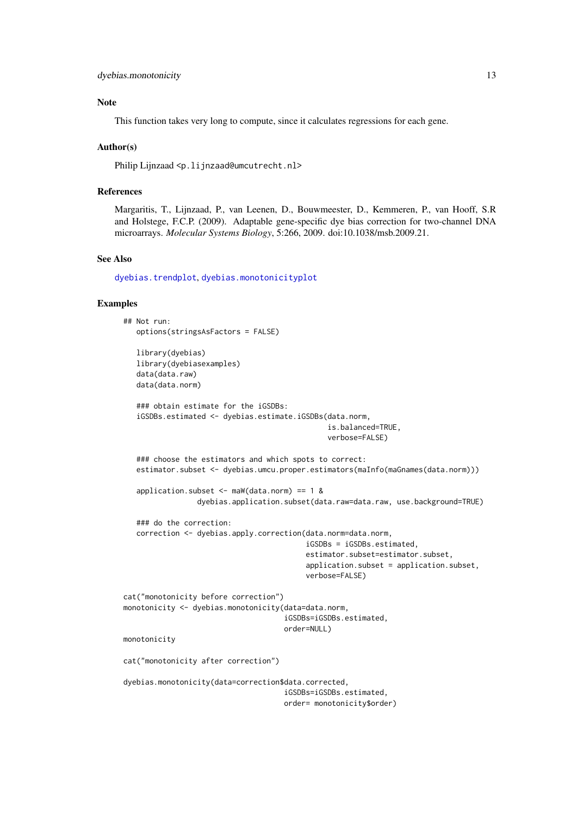#### <span id="page-12-0"></span>Note

This function takes very long to compute, since it calculates regressions for each gene.

# Author(s)

Philip Lijnzaad <p. lijnzaad@umcutrecht.nl>

#### References

Margaritis, T., Lijnzaad, P., van Leenen, D., Bouwmeester, D., Kemmeren, P., van Hooff, S.R and Holstege, F.C.P. (2009). Adaptable gene-specific dye bias correction for two-channel DNA microarrays. *Molecular Systems Biology*, 5:266, 2009. doi:10.1038/msb.2009.21.

# See Also

[dyebias.trendplot](#page-17-1), [dyebias.monotonicityplot](#page-13-1)

#### Examples

```
## Not run:
   options(stringsAsFactors = FALSE)
```

```
library(dyebias)
library(dyebiasexamples)
data(data.raw)
data(data.norm)
```

```
### obtain estimate for the iGSDBs:
iGSDBs.estimated <- dyebias.estimate.iGSDBs(data.norm,
                                            is.balanced=TRUE,
                                            verbose=FALSE)
```

```
### choose the estimators and which spots to correct:
estimator.subset <- dyebias.umcu.proper.estimators(maInfo(maGnames(data.norm)))
```

```
application.subset \leq maW(data.norm) == 1 &
              dyebias.application.subset(data.raw=data.raw, use.background=TRUE)
```

```
### do the correction:
correction <- dyebias.apply.correction(data.norm=data.norm,
                                       iGSDBs = iGSDBs.estimated,
                                       estimator.subset=estimator.subset,
                                       application.subset = application.subset,
                                       verbose=FALSE)
```

```
cat("monotonicity before correction")
monotonicity <- dyebias.monotonicity(data=data.norm,
                                     iGSDBs=iGSDBs.estimated,
                                     order=NULL)
```
monotonicity

```
cat("monotonicity after correction")
```

```
dyebias.monotonicity(data=correction$data.corrected,
                                     iGSDBs=iGSDBs.estimated,
                                     order= monotonicity$order)
```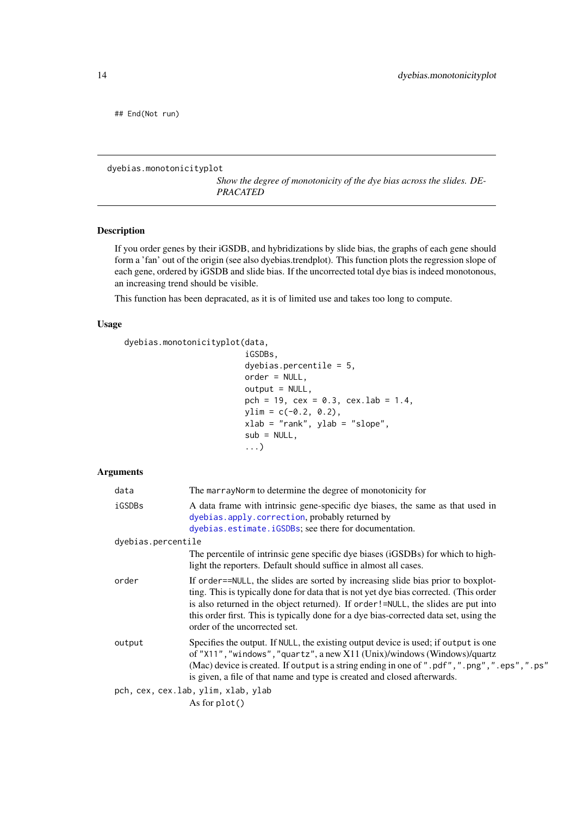<span id="page-13-0"></span>## End(Not run)

<span id="page-13-1"></span>dyebias.monotonicityplot

*Show the degree of monotonicity of the dye bias across the slides. DE-PRACATED*

# Description

If you order genes by their iGSDB, and hybridizations by slide bias, the graphs of each gene should form a 'fan' out of the origin (see also dyebias.trendplot). This function plots the regression slope of each gene, ordered by iGSDB and slide bias. If the uncorrected total dye bias is indeed monotonous, an increasing trend should be visible.

This function has been depracated, as it is of limited use and takes too long to compute.

# Usage

```
dyebias.monotonicityplot(data,
```

```
iGSDBs,
dyebias.percentile = 5,
order = NULL,
output = NULL,
pch = 19, cex = 0.3, cex.lab = 1.4,
ylim = c(-0.2, 0.2),xlab = "rank", ylab = "slope",
sub = NULL,...)
```
# Arguments

| data                                | The marray Norm to determine the degree of monotonicity for                                                                                                                                                                                                                                                                                                                              |  |
|-------------------------------------|------------------------------------------------------------------------------------------------------------------------------------------------------------------------------------------------------------------------------------------------------------------------------------------------------------------------------------------------------------------------------------------|--|
| iGSDBs                              | A data frame with intrinsic gene-specific dye biases, the same as that used in<br>dyebias.apply.correction, probably returned by<br>dyebias.estimate.iGSDBs; see there for documentation.                                                                                                                                                                                                |  |
| dyebias.percentile                  |                                                                                                                                                                                                                                                                                                                                                                                          |  |
|                                     | The percentile of intrinsic gene specific dye biases (iGSDBs) for which to high-<br>light the reporters. Default should suffice in almost all cases.                                                                                                                                                                                                                                     |  |
| order                               | If order==NULL, the slides are sorted by increasing slide bias prior to boxplot-<br>ting. This is typically done for data that is not yet dye bias corrected. (This order<br>is also returned in the object returned). If order!=NULL, the slides are put into<br>this order first. This is typically done for a dye bias-corrected data set, using the<br>order of the uncorrected set. |  |
| output                              | Specifies the output. If NULL, the existing output device is used; if output is one<br>of "X11", "windows", "quartz", a new X11 (Unix)/windows (Windows)/quartz<br>(Mac) device is created. If output is a string ending in one of ".pdf", ".png", ".eps", ".ps"<br>is given, a file of that name and type is created and closed afterwards.                                             |  |
| pch, cex, cex.lab, ylim, xlab, ylab |                                                                                                                                                                                                                                                                                                                                                                                          |  |
|                                     | As for $plot()$                                                                                                                                                                                                                                                                                                                                                                          |  |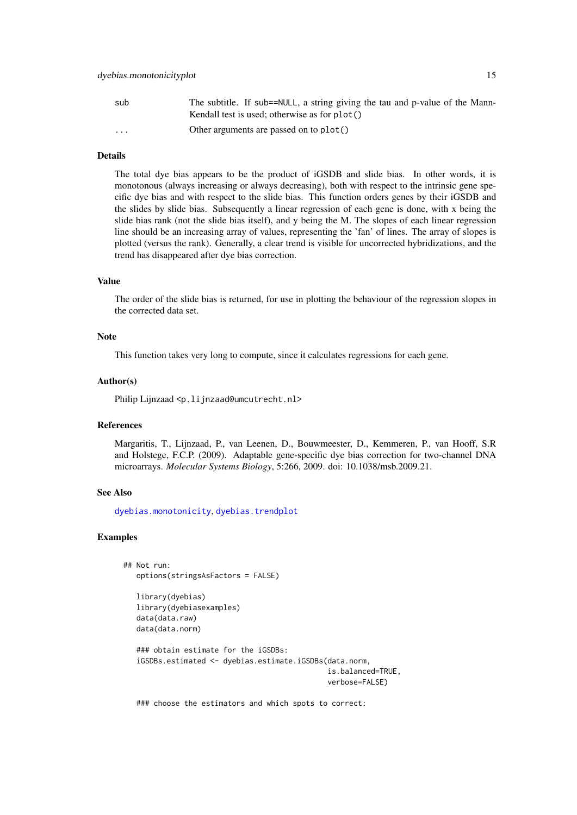#### <span id="page-14-0"></span>dyebias.monotonicityplot 15

| sub      | The subtitle. If sub==NULL, a string giving the tau and p-value of the Mann-<br>Kendall test is used; otherwise as for $plot()$ |
|----------|---------------------------------------------------------------------------------------------------------------------------------|
| $\cdots$ | Other arguments are passed on to plot()                                                                                         |

# Details

The total dye bias appears to be the product of iGSDB and slide bias. In other words, it is monotonous (always increasing or always decreasing), both with respect to the intrinsic gene specific dye bias and with respect to the slide bias. This function orders genes by their iGSDB and the slides by slide bias. Subsequently a linear regression of each gene is done, with x being the slide bias rank (not the slide bias itself), and y being the M. The slopes of each linear regression line should be an increasing array of values, representing the 'fan' of lines. The array of slopes is plotted (versus the rank). Generally, a clear trend is visible for uncorrected hybridizations, and the trend has disappeared after dye bias correction.

### Value

The order of the slide bias is returned, for use in plotting the behaviour of the regression slopes in the corrected data set.

# Note

This function takes very long to compute, since it calculates regressions for each gene.

#### Author(s)

Philip Lijnzaad <p.lijnzaad@umcutrecht.nl>

#### References

Margaritis, T., Lijnzaad, P., van Leenen, D., Bouwmeester, D., Kemmeren, P., van Hooff, S.R and Holstege, F.C.P. (2009). Adaptable gene-specific dye bias correction for two-channel DNA microarrays. *Molecular Systems Biology*, 5:266, 2009. doi: 10.1038/msb.2009.21.

# See Also

[dyebias.monotonicity](#page-11-1), [dyebias.trendplot](#page-17-1)

#### Examples

```
## Not run:
   options(stringsAsFactors = FALSE)
   library(dyebias)
   library(dyebiasexamples)
   data(data.raw)
  data(data.norm)
   ### obtain estimate for the iGSDBs:
   iGSDBs.estimated <- dyebias.estimate.iGSDBs(data.norm,
                                               is.balanced=TRUE,
                                                verbose=FALSE)
```
### choose the estimators and which spots to correct: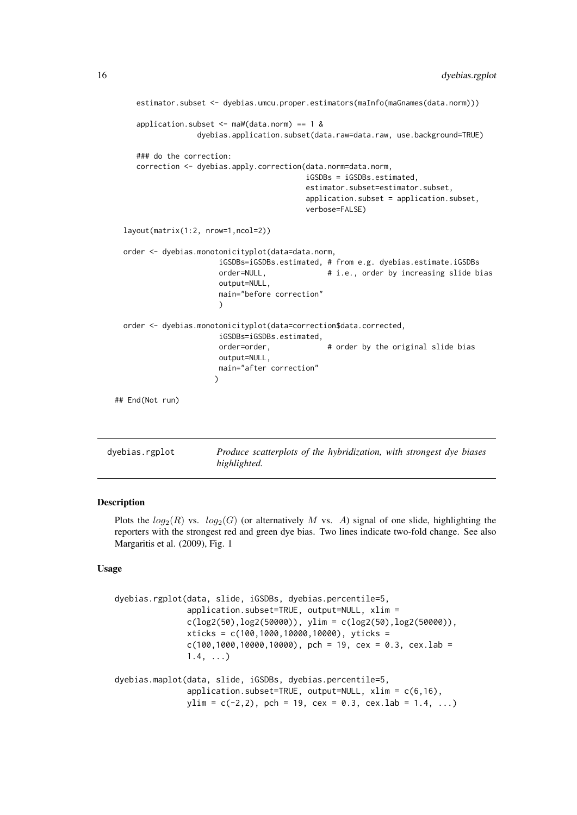```
estimator.subset <- dyebias.umcu.proper.estimators(maInfo(maGnames(data.norm)))
      application.subset \leq maW(data.norm) == 1 &
                    dyebias.application.subset(data.raw=data.raw, use.background=TRUE)
      ### do the correction:
      correction <- dyebias.apply.correction(data.norm=data.norm,
                                             iGSDBs = iGSDBs.estimated,
                                             estimator.subset=estimator.subset,
                                             application.subset = application.subset,
                                             verbose=FALSE)
   layout(matrix(1:2, nrow=1,ncol=2))
   order <- dyebias.monotonicityplot(data=data.norm,
                         iGSDBs=iGSDBs.estimated, # from e.g. dyebias.estimate.iGSDBs
                         order=NULL, # i.e., order by increasing slide bias
                         output=NULL,
                         main="before correction"
                         )
   order <- dyebias.monotonicityplot(data=correction$data.corrected,
                         iGSDBs=iGSDBs.estimated,
                         order=order, \qquad \qquad # order by the original slide bias
                         output=NULL,
                         main="after correction"
                        )
 ## End(Not run)
dyebias.rgplot Produce scatterplots of the hybridization, with strongest dye biases
```
#### <span id="page-15-2"></span><span id="page-15-1"></span>**Description**

Plots the  $log_2(R)$  vs.  $log_2(G)$  (or alternatively M vs. A) signal of one slide, highlighting the reporters with the strongest red and green dye bias. Two lines indicate two-fold change. See also Margaritis et al. (2009), Fig. 1

*highlighted.*

# Usage

```
dyebias.rgplot(data, slide, iGSDBs, dyebias.percentile=5,
               application.subset=TRUE, output=NULL, xlim =
               c(log2(50), log2(50000)), ylim = c(log2(50), log2(50000)),
               xticks = c(100,1000,10000,10000), yticks =
               c(100, 1000, 10000, 10000), pch = 19, cex = 0.3, cex.lab =
               1.4, ...dyebias.maplot(data, slide, iGSDBs, dyebias.percentile=5,
               application.subset=TRUE, output=NULL, xlim = c(6,16),
               ylim = c(-2, 2), pch = 19, cex = 0.3, cex.lab = 1.4, ...)
```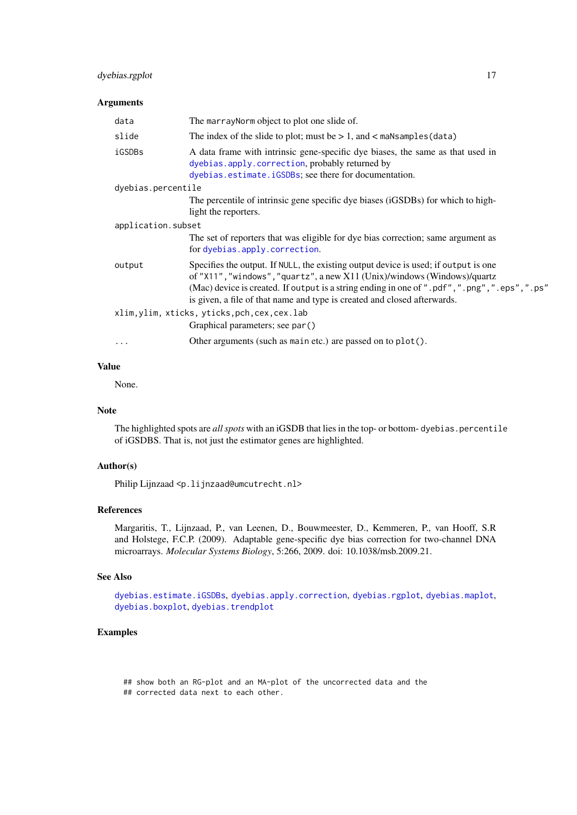#### <span id="page-16-0"></span>dyebias.rgplot 17

# Arguments

| data               | The marray Norm object to plot one slide of.                                                                                                                                                                                                                                                                                                 |
|--------------------|----------------------------------------------------------------------------------------------------------------------------------------------------------------------------------------------------------------------------------------------------------------------------------------------------------------------------------------------|
| slide              | The index of the slide to plot; must be $> 1$ , and $<$ maNsamples (data)                                                                                                                                                                                                                                                                    |
| iGSDBs             | A data frame with intrinsic gene-specific dye biases, the same as that used in<br>dyebias.apply.correction, probably returned by<br>dyebias.estimate.iGSDBs; see there for documentation.                                                                                                                                                    |
| dyebias.percentile |                                                                                                                                                                                                                                                                                                                                              |
|                    | The percentile of intrinsic gene specific dye biases (iGSDBs) for which to high-<br>light the reporters.                                                                                                                                                                                                                                     |
| application.subset |                                                                                                                                                                                                                                                                                                                                              |
|                    | The set of reporters that was eligible for dye bias correction; same argument as<br>for dyebias.apply.correction.                                                                                                                                                                                                                            |
| output             | Specifies the output. If NULL, the existing output device is used; if output is one<br>of "X11", "windows", "quartz", a new X11 (Unix)/windows (Windows)/quartz<br>(Mac) device is created. If output is a string ending in one of ".pdf", ".png", ".eps", ".ps"<br>is given, a file of that name and type is created and closed afterwards. |
|                    | xlim, ylim, xticks, yticks, pch, cex, cex.lab                                                                                                                                                                                                                                                                                                |
|                    | Graphical parameters; see par()                                                                                                                                                                                                                                                                                                              |
| .                  | Other arguments (such as main etc.) are passed on to plot().                                                                                                                                                                                                                                                                                 |
|                    |                                                                                                                                                                                                                                                                                                                                              |

# Value

None.

# Note

The highlighted spots are *all spots* with an iGSDB that lies in the top- or bottom- dyebias.percentile of iGSDBS. That is, not just the estimator genes are highlighted.

# Author(s)

Philip Lijnzaad <p. lijnzaad@umcutrecht.nl>

# References

Margaritis, T., Lijnzaad, P., van Leenen, D., Bouwmeester, D., Kemmeren, P., van Hooff, S.R and Holstege, F.C.P. (2009). Adaptable gene-specific dye bias correction for two-channel DNA microarrays. *Molecular Systems Biology*, 5:266, 2009. doi: 10.1038/msb.2009.21.

# See Also

[dyebias.estimate.iGSDBs](#page-8-1), [dyebias.apply.correction](#page-3-1), [dyebias.rgplot](#page-15-1), [dyebias.maplot](#page-15-2), [dyebias.boxplot](#page-6-1), [dyebias.trendplot](#page-17-1)

# Examples

## show both an RG-plot and an MA-plot of the uncorrected data and the ## corrected data next to each other.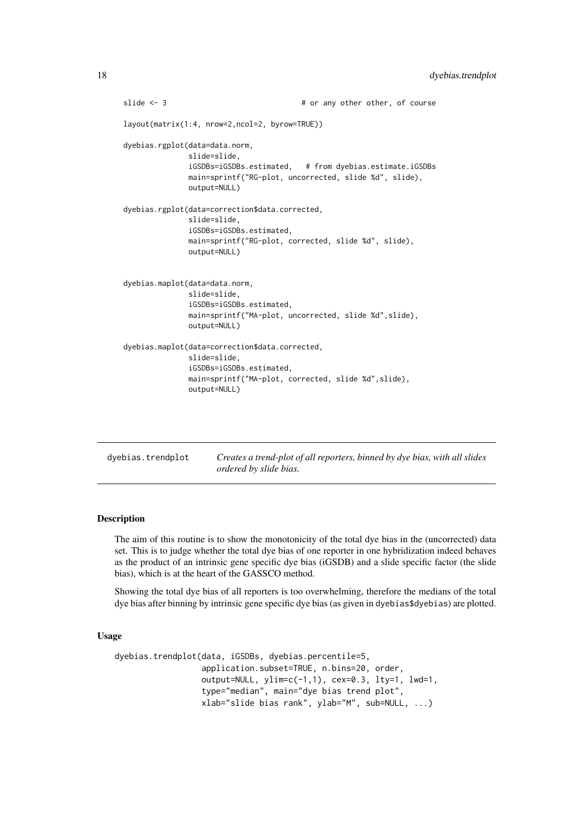```
slide <- 3 \qquad # or any other other, of course
layout(matrix(1:4, nrow=2,ncol=2, byrow=TRUE))
dyebias.rgplot(data=data.norm,
              slide=slide,
              iGSDBs=iGSDBs.estimated, # from dyebias.estimate.iGSDBs
              main=sprintf("RG-plot, uncorrected, slide %d", slide),
              output=NULL)
dyebias.rgplot(data=correction$data.corrected,
              slide=slide,
              iGSDBs=iGSDBs.estimated,
              main=sprintf("RG-plot, corrected, slide %d", slide),
              output=NULL)
dyebias.maplot(data=data.norm,
              slide=slide,
              iGSDBs=iGSDBs.estimated,
              main=sprintf("MA-plot, uncorrected, slide %d",slide),
              output=NULL)
dyebias.maplot(data=correction$data.corrected,
              slide=slide,
              iGSDBs=iGSDBs.estimated,
              main=sprintf("MA-plot, corrected, slide %d", slide),
              output=NULL)
```
<span id="page-17-1"></span>

| dyebias.trendplot | Creates a trend-plot of all reporters, binned by dye bias, with all slides |  |
|-------------------|----------------------------------------------------------------------------|--|
|                   | ordered by slide bias.                                                     |  |

#### Description

The aim of this routine is to show the monotonicity of the total dye bias in the (uncorrected) data set. This is to judge whether the total dye bias of one reporter in one hybridization indeed behaves as the product of an intrinsic gene specific dye bias (iGSDB) and a slide specific factor (the slide bias), which is at the heart of the GASSCO method.

Showing the total dye bias of all reporters is too overwhelming, therefore the medians of the total dye bias after binning by intrinsic gene specific dye bias (as given in dyebias\$dyebias) are plotted.

# Usage

```
dyebias.trendplot(data, iGSDBs, dyebias.percentile=5,
                  application.subset=TRUE, n.bins=20, order,
                  output=NULL, ylim=c(-1,1), cex=0.3, lty=1, lwd=1,
                  type="median", main="dye bias trend plot",
                  xlab="slide bias rank", ylab="M", sub=NULL, ...)
```
<span id="page-17-0"></span>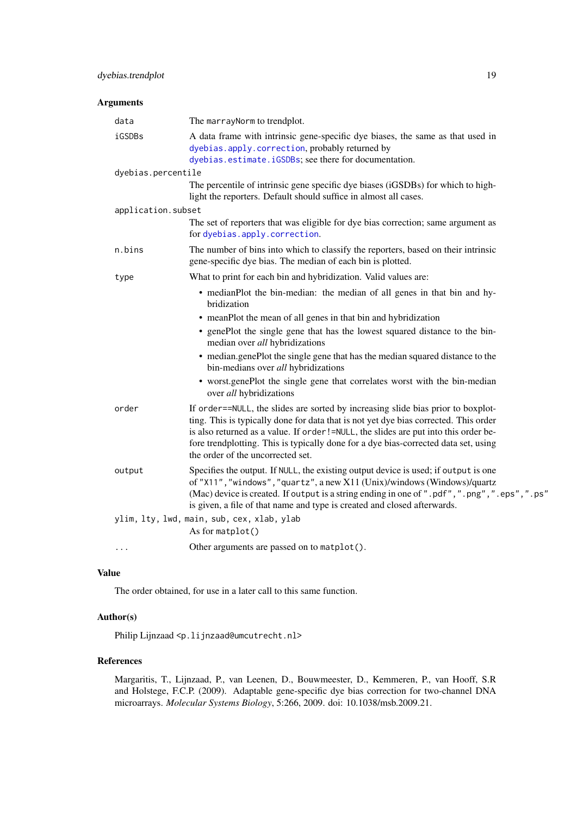#### <span id="page-18-0"></span>Arguments

| data                                       | The marrayNorm to trendplot.                                                                                                                                                                                                                                                                                                                                                                |  |
|--------------------------------------------|---------------------------------------------------------------------------------------------------------------------------------------------------------------------------------------------------------------------------------------------------------------------------------------------------------------------------------------------------------------------------------------------|--|
| iGSDBs                                     | A data frame with intrinsic gene-specific dye biases, the same as that used in<br>dyebias.apply.correction, probably returned by                                                                                                                                                                                                                                                            |  |
|                                            | dyebias.estimate.iGSDBs; see there for documentation.                                                                                                                                                                                                                                                                                                                                       |  |
| dyebias.percentile                         |                                                                                                                                                                                                                                                                                                                                                                                             |  |
|                                            | The percentile of intrinsic gene specific dye biases (iGSDBs) for which to high-<br>light the reporters. Default should suffice in almost all cases.                                                                                                                                                                                                                                        |  |
| application.subset                         |                                                                                                                                                                                                                                                                                                                                                                                             |  |
|                                            | The set of reporters that was eligible for dye bias correction; same argument as<br>for dyebias.apply.correction.                                                                                                                                                                                                                                                                           |  |
| n.bins                                     | The number of bins into which to classify the reporters, based on their intrinsic<br>gene-specific dye bias. The median of each bin is plotted.                                                                                                                                                                                                                                             |  |
| type                                       | What to print for each bin and hybridization. Valid values are:                                                                                                                                                                                                                                                                                                                             |  |
|                                            | • medianPlot the bin-median: the median of all genes in that bin and hy-<br>bridization                                                                                                                                                                                                                                                                                                     |  |
|                                            | • meanPlot the mean of all genes in that bin and hybridization                                                                                                                                                                                                                                                                                                                              |  |
|                                            | • genePlot the single gene that has the lowest squared distance to the bin-<br>median over all hybridizations                                                                                                                                                                                                                                                                               |  |
|                                            | • median.genePlot the single gene that has the median squared distance to the<br>bin-medians over all hybridizations                                                                                                                                                                                                                                                                        |  |
|                                            | • worst.genePlot the single gene that correlates worst with the bin-median<br>over all hybridizations                                                                                                                                                                                                                                                                                       |  |
| order                                      | If order==NULL, the slides are sorted by increasing slide bias prior to boxplot-<br>ting. This is typically done for data that is not yet dye bias corrected. This order<br>is also returned as a value. If order!=NULL, the slides are put into this order be-<br>fore trendplotting. This is typically done for a dye bias-corrected data set, using<br>the order of the uncorrected set. |  |
| output                                     | Specifies the output. If NULL, the existing output device is used; if output is one<br>of "X11", "windows", "quartz", a new X11 (Unix)/windows (Windows)/quartz<br>(Mac) device is created. If output is a string ending in one of ".pdf", ".png", ".eps", ".ps"<br>is given, a file of that name and type is created and closed afterwards.                                                |  |
| ylim, lty, lwd, main, sub, cex, xlab, ylab |                                                                                                                                                                                                                                                                                                                                                                                             |  |
|                                            | As for matplot()                                                                                                                                                                                                                                                                                                                                                                            |  |
| .                                          | Other arguments are passed on to matplot().                                                                                                                                                                                                                                                                                                                                                 |  |
|                                            |                                                                                                                                                                                                                                                                                                                                                                                             |  |

# Value

The order obtained, for use in a later call to this same function.

# Author(s)

Philip Lijnzaad <p.lijnzaad@umcutrecht.nl>

# References

Margaritis, T., Lijnzaad, P., van Leenen, D., Bouwmeester, D., Kemmeren, P., van Hooff, S.R and Holstege, F.C.P. (2009). Adaptable gene-specific dye bias correction for two-channel DNA microarrays. *Molecular Systems Biology*, 5:266, 2009. doi: 10.1038/msb.2009.21.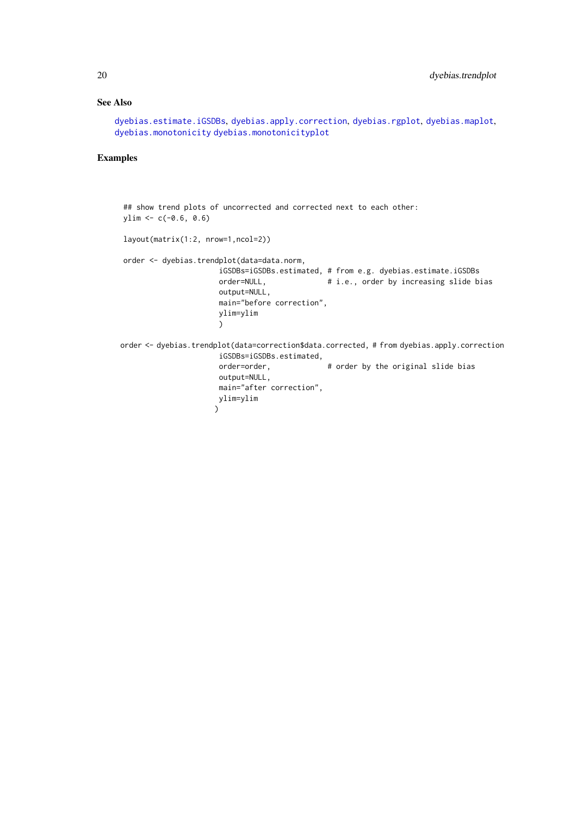# <span id="page-19-0"></span>See Also

```
dyebias.estimate.iGSDBs, dyebias.apply.correction, dyebias.rgplot, dyebias.maplot,
dyebias.monotonicity dyebias.monotonicityplot
```
# Examples

```
## show trend plots of uncorrected and corrected next to each other:
ylim < -c(-0.6, 0.6)layout(matrix(1:2, nrow=1,ncol=2))
order <- dyebias.trendplot(data=data.norm,
                      iGSDBs=iGSDBs.estimated, # from e.g. dyebias.estimate.iGSDBs
                      order=NULL, \# i.e., order by increasing slide bias
                      output=NULL,
                      main="before correction",
                      ylim=ylim
                      \lambdaorder <- dyebias.trendplot(data=correction$data.corrected, # from dyebias.apply.correction
                      iGSDBs=iGSDBs.estimated,
                      order=order, \qquad \qquad # order by the original slide bias
                      output=NULL,
                      main="after correction",
                      ylim=ylim
                     \sum
```